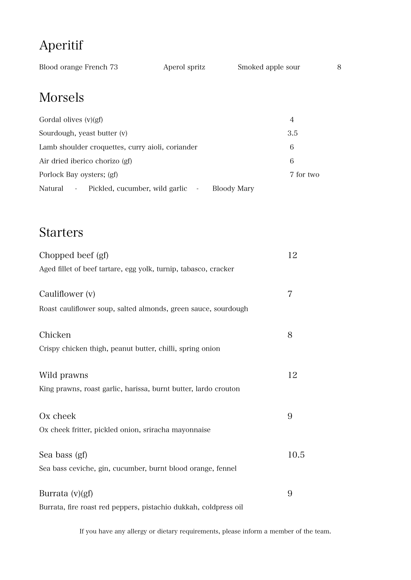# Aperitif

| Blood orange French 73 | Aperol spritz | Smoked apple sour |  |
|------------------------|---------------|-------------------|--|
|                        |               |                   |  |

## Morsels

| Gordal olives $(v)(gf)$                                                       | 4         |
|-------------------------------------------------------------------------------|-----------|
| Sourdough, yeast butter (v)                                                   | 3.5       |
| Lamb shoulder croquettes, curry aioli, coriander                              | 6         |
| Air dried iberico chorizo (gf)                                                | 6         |
| Porlock Bay oysters; (gf)                                                     | 7 for two |
| Pickled, cucumber, wild garlic -<br>Natural<br>Bloody Mary<br>$\sim 10^{-10}$ |           |

# Starters

| Chopped beef (gf)                                                | 12   |
|------------------------------------------------------------------|------|
| Aged fillet of beef tartare, egg yolk, turnip, tabasco, cracker  |      |
| Cauliflower (v)                                                  | 7    |
| Roast cauliflower soup, salted almonds, green sauce, sourdough   |      |
| Chicken                                                          | 8    |
| Crispy chicken thigh, peanut butter, chilli, spring onion        |      |
| Wild prawns                                                      | 12   |
| King prawns, roast garlic, harissa, burnt butter, lardo crouton  |      |
| Ox cheek                                                         | 9    |
| Ox cheek fritter, pickled onion, sriracha mayonnaise             |      |
| Sea bass (gf)                                                    | 10.5 |
| Sea bass ceviche, gin, cucumber, burnt blood orange, fennel      |      |
| Burrata (v)(gf)                                                  | 9    |
| Burrata, fire roast red peppers, pistachio dukkah, coldpress oil |      |

If you have any allergy or dietary requirements, please inform a member of the team.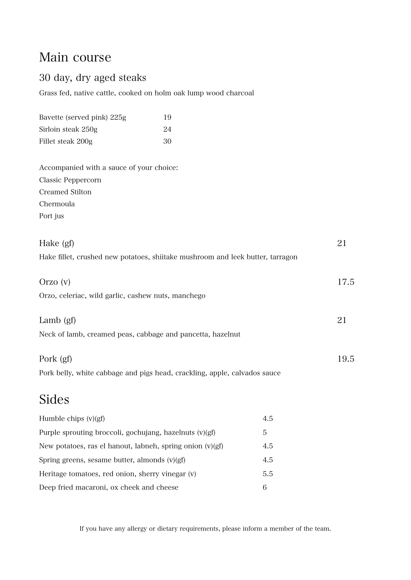### Main course

#### 30 day, dry aged steaks

Grass fed, native cattle, cooked on holm oak lump wood charcoal

| Bavette (served pink) 225g | 19 |
|----------------------------|----|
| Sirloin steak 250g         | 24 |
| Fillet steak 200g          | 30 |

Accompanied with a sauce of your choice: Classic Peppercorn Creamed Stilton Chermoula Port jus

| Hake (gf)                                                                      | 21   |
|--------------------------------------------------------------------------------|------|
| Hake fillet, crushed new potatoes, shiitake mushroom and leek butter, tarragon |      |
|                                                                                |      |
| Orzo(v)                                                                        | 17.5 |
| Orzo, celeriac, wild garlic, cashew nuts, manchego                             |      |
|                                                                                |      |
| Lamb $(gf)$                                                                    | 21   |
| Neck of lamb, creamed peas, cabbage and pancetta, hazelnut                     |      |
|                                                                                |      |
| Pork (gf)                                                                      | 19.5 |
| Pork belly, white cabbage and pigs head, crackling, apple, calvados sauce      |      |
|                                                                                |      |

# Sides

| Humble chips $(v)(gf)$                                      | 4.5 |
|-------------------------------------------------------------|-----|
| Purple sprouting broccoli, gochujang, hazelnuts (v)(gf)     | 5   |
| New potatoes, ras el hanout, labneh, spring onion $(v)(gf)$ | 4.5 |
| Spring greens, sesame butter, almonds $(v)(gf)$             | 4.5 |
| Heritage tomatoes, red onion, sherry vinegar (v)            | 5.5 |
| Deep fried macaroni, ox cheek and cheese                    | 6   |

If you have any allergy or dietary requirements, please inform a member of the team.